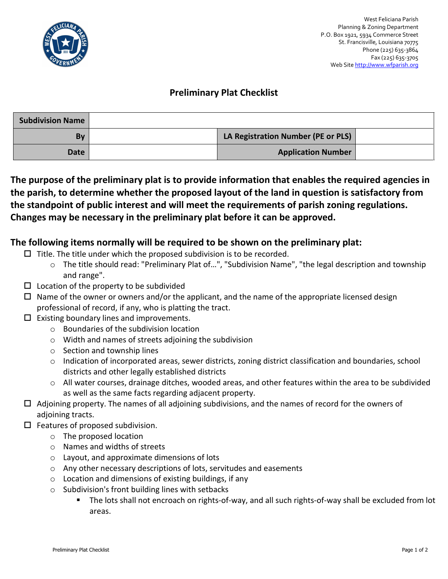

## **Preliminary Plat Checklist**

| <b>Subdivision Name</b> |                                    |  |
|-------------------------|------------------------------------|--|
| By                      | LA Registration Number (PE or PLS) |  |
| Date                    | <b>Application Number</b>          |  |

**The purpose of the preliminary plat is to provide information that enables the required agencies in the parish, to determine whether the proposed layout of the land in question is satisfactory from the standpoint of public interest and will meet the requirements of parish zoning regulations. Changes may be necessary in the preliminary plat before it can be approved.**

## **The following items normally will be required to be shown on the preliminary plat:**

- $\Box$  Title. The title under which the proposed subdivision is to be recorded.
	- o The title should read: "Preliminary Plat of…", "Subdivision Name", "the legal description and township and range".
- $\square$  Location of the property to be subdivided
- $\Box$  Name of the owner or owners and/or the applicant, and the name of the appropriate licensed design professional of record, if any, who is platting the tract.
- $\Box$  Existing boundary lines and improvements.
	- o Boundaries of the subdivision location
	- o Width and names of streets adjoining the subdivision
	- o Section and township lines
	- o Indication of incorporated areas, sewer districts, zoning district classification and boundaries, school districts and other legally established districts
	- o All water courses, drainage ditches, wooded areas, and other features within the area to be subdivided as well as the same facts regarding adjacent property.
- Adjoining property. The names of all adjoining subdivisions, and the names of record for the owners of adjoining tracts.
- $\Box$  Features of proposed subdivision.
	- o The proposed location
	- o Names and widths of streets
	- o Layout, and approximate dimensions of lots
	- o Any other necessary descriptions of lots, servitudes and easements
	- o Location and dimensions of existing buildings, if any
	- o Subdivision's front building lines with setbacks
		- The lots shall not encroach on rights-of-way, and all such rights-of-way shall be excluded from lot areas.